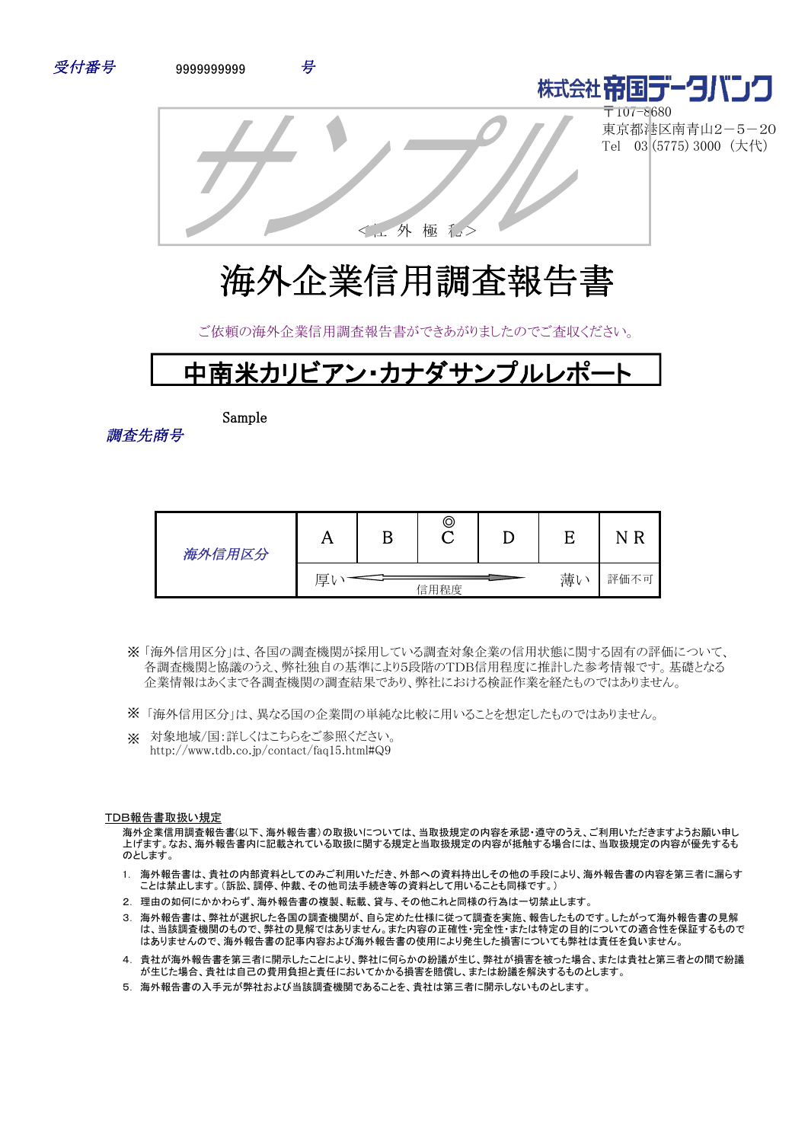



〒107-8680 東京都港区南青山2-5-20 Tel 03 (5775) 3000 (大代)



<工外 極 私

ご依頼の海外企業信用調査報告書ができあがりましたのでご査収ください。



Sample

調査先商号

| 海外信用区分 | . .             |  | © |      |  | R<br>N |
|--------|-----------------|--|---|------|--|--------|
|        | 薄い<br>厚<br>信用程度 |  |   | 評価不可 |  |        |

- 「海外信用区分」は、各国の調査機関が採用している調査対象企業の信用状態に関する固有の評価について、 ※ 各調査機関と協議のうえ、弊社独自の基準により5段階のTDB信用程度に推計した参考情報です。基礎となる 企業情報はあくまで各調査機関の調査結果であり、弊社における検証作業を経たものではありません。
- ※ 「海外信用区分」は、異なる国の企業間の単純な比較に用いることを想定したものではありません。
- ※ 対象地域/国:詳しくはこちらをご参照ください。 http://www.tdb.co.jp/contact/faq15.html#Q9

#### TDB報告書取扱い規定

海外企業信用調査報告書(以下、海外報告書)の取扱いについては、当取扱規定の内容を承認・遵守のうえ、ご利用いただきますようお願い申し 上げます。なお、海外報告書内に記載されている取扱に関する規定と当取扱規定の内容が抵触する場合には、当取扱規定の内容が優先するも のとします。

- 1. 海外報告書は、貴社の内部資料としてのみご利用いただき、外部への資料持出しその他の手段により、海外報告書の内容を第三者に漏らす ことは禁止します。(訴訟、調停、仲裁、その他司法手続き等の資料として用いることも同様です。)
- 2. 理由の如何にかかわらず、海外報告書の複製、転載、貸与、その他これと同様の行為は一切禁止します。
- 3. 海外報告書は、弊社が選択した各国の調査機関が、自ら定めた仕様に従って調査を実施、報告したものです。したがって海外報告書の見解 は、当該調査機関のもので、弊社の見解ではありません。また内容の正確性・完全性・または特定の目的についての適合性を保証するもので はありませんので、海外報告書の記事内容および海外報告書の使用により発生した損害についても弊社は責任を負いません。
- 4. 貴社が海外報告書を第三者に開示したことにより、弊社に何らかの紛議が生じ、弊社が損害を被った場合、または貴社と第三者との間で紛議 。<br>「お生じた場合、貴社は自己の費用負担と責任においてかかる損害を賠償し、または紛議を解決するものとします。
- 5. 海外報告書の入手元が弊社および当該調査機関であることを、貴社は第三者に開示しないものとします。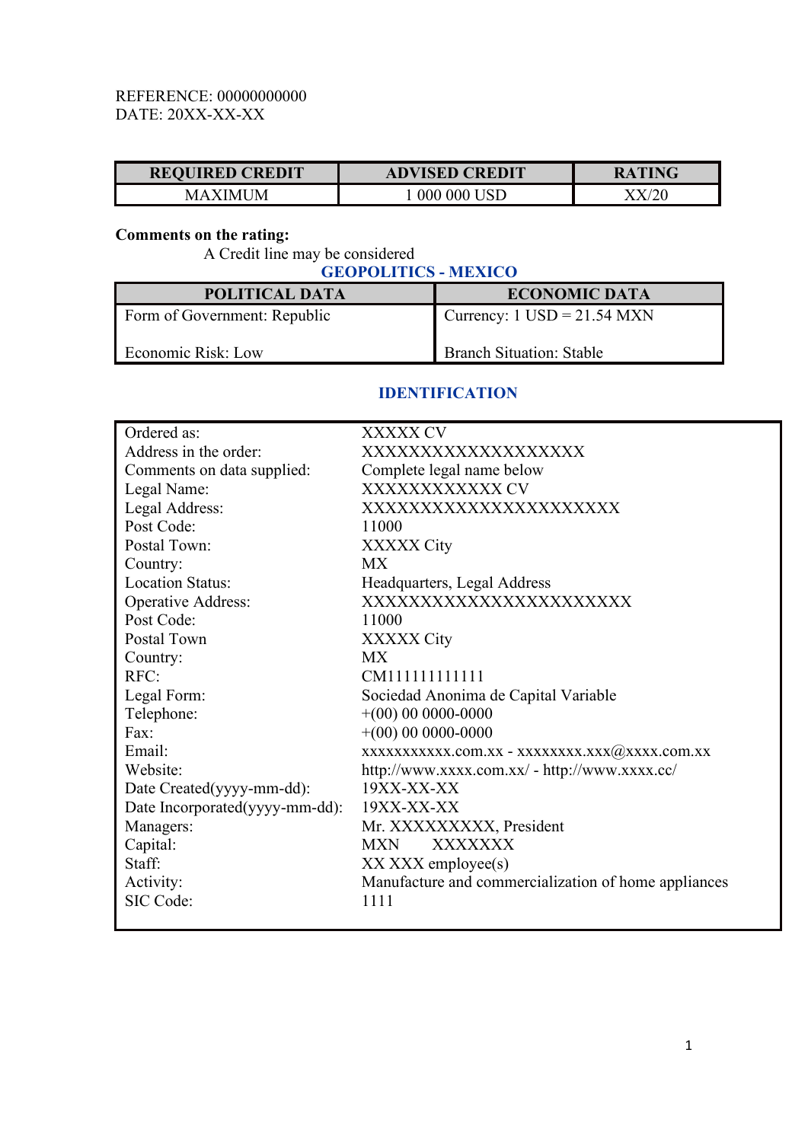# REFERENCE: 00000000000 DATE: 20XX-XX-XX

| <b>REQUIRED CREDIT</b> | <b>VISED CREDIT</b><br>AD | WG.<br>RA |
|------------------------|---------------------------|-----------|
| JM<br>$\Lambda$        | USE<br>UU(<br>UUU         |           |

# **Comments on the rating:**

A Credit line may be considered

**GEOPOLITICS - MEXICO POLITICAL DATA ECONOMIC DATA** Form of Government: Republic Economic Risk: Low Currency:  $1$  USD =  $21.54$  MXN Branch Situation: Stable

### **IDENTIFICATION**

| Ordered as:                    | XXXXX CV                                             |
|--------------------------------|------------------------------------------------------|
| Address in the order:          | XXXXXXXXXXXXXXXXXX                                   |
| Comments on data supplied:     | Complete legal name below                            |
| Legal Name:                    | XXXXXXXXXXXX CV                                      |
| Legal Address:                 | XXXXXXXXXXXXXXXXXXXXXX                               |
| Post Code:                     | 11000                                                |
| Postal Town:                   | XXXXX City                                           |
| Country:                       | <b>MX</b>                                            |
| <b>Location Status:</b>        | Headquarters, Legal Address                          |
| <b>Operative Address:</b>      | XXXXXXXXXXXXXXXXXXXXXXX                              |
| Post Code:                     | 11000                                                |
| Postal Town                    | XXXXX City                                           |
| Country:                       | <b>MX</b>                                            |
| RFC:                           | CM11111111111                                        |
| Legal Form:                    | Sociedad Anonima de Capital Variable                 |
| Telephone:                     | $+(00)$ 00 0000-0000                                 |
| Fax:                           | $+(00)$ 00 0000-0000                                 |
| Email:                         | XXXXXXXXXX.com.xx - XXXXXXXX.XXX@XXXX.com.xx         |
| Website:                       | http://www.xxxx.com.xx/ - http://www.xxxx.cc/        |
| Date Created(yyyy-mm-dd):      | $19XX-XX-XX$                                         |
| Date Incorporated(yyyy-mm-dd): | $19XX-XX-XX$                                         |
| Managers:                      | Mr. XXXXXXXXX, President                             |
| Capital:                       | <b>XXXXXXX</b><br><b>MXN</b>                         |
| Staff:                         | XX XXX employee(s)                                   |
| Activity:                      | Manufacture and commercialization of home appliances |
| SIC Code:                      | 1111                                                 |
|                                |                                                      |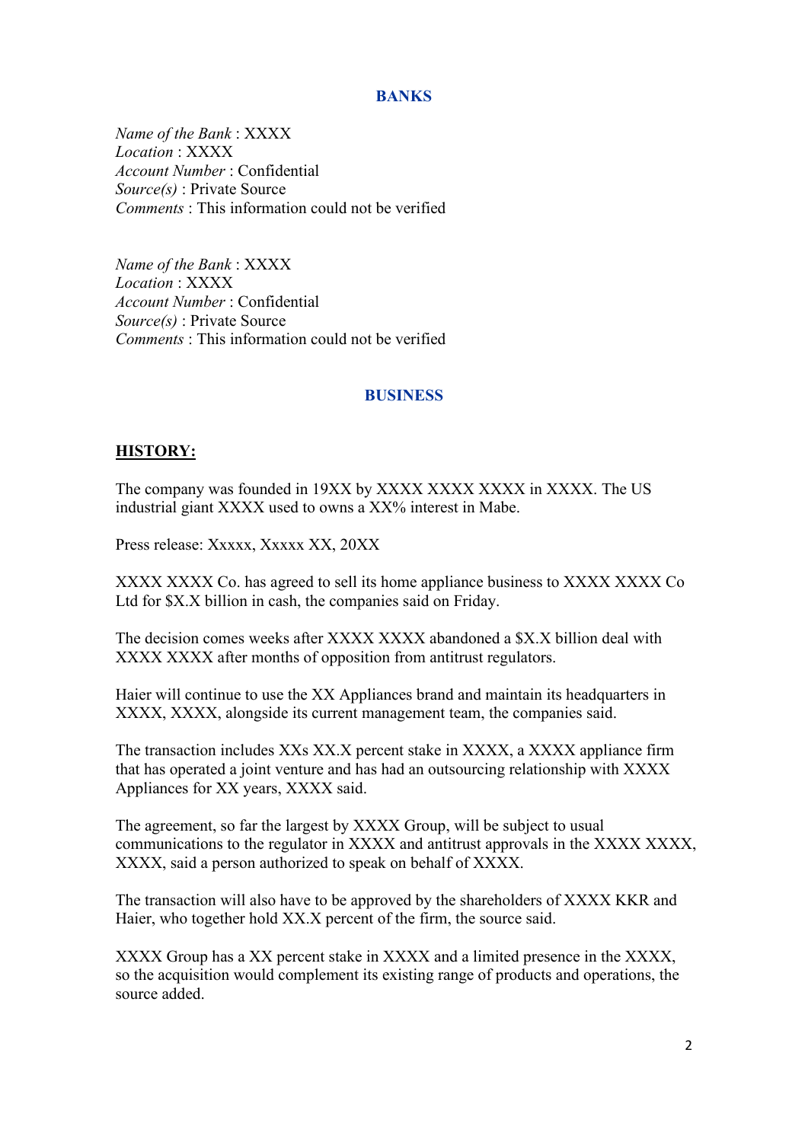### **BANKS**

*Name of the Bank* : XXXX *Location* : XXXX *Account Number* : Confidential *Source(s)* : Private Source *Comments* : This information could not be verified

*Name of the Bank* : XXXX *Location* : XXXX *Account Number* : Confidential *Source(s)* : Private Source *Comments* : This information could not be verified

#### **BUSINESS**

#### **HISTORY:**

The company was founded in 19XX by XXXX XXXX XXXX in XXXX. The US industrial giant XXXX used to owns a XX% interest in Mabe.

Press release: Xxxxx, Xxxxx XX, 20XX

XXXX XXXX Co. has agreed to sell its home appliance business to XXXX XXXX Co Ltd for \$X.X billion in cash, the companies said on Friday.

The decision comes weeks after XXXX XXXX abandoned a \$X.X billion deal with XXXX XXXX after months of opposition from antitrust regulators.

Haier will continue to use the XX Appliances brand and maintain its headquarters in XXXX, XXXX, alongside its current management team, the companies said.

The transaction includes XXs XX.X percent stake in XXXX, a XXXX appliance firm that has operated a joint venture and has had an outsourcing relationship with XXXX Appliances for XX years, XXXX said.

The agreement, so far the largest by XXXX Group, will be subject to usual communications to the regulator in XXXX and antitrust approvals in the XXXX XXXX, XXXX, said a person authorized to speak on behalf of XXXX.

The transaction will also have to be approved by the shareholders of XXXX KKR and Haier, who together hold XX.X percent of the firm, the source said.

XXXX Group has a XX percent stake in XXXX and a limited presence in the XXXX, so the acquisition would complement its existing range of products and operations, the source added.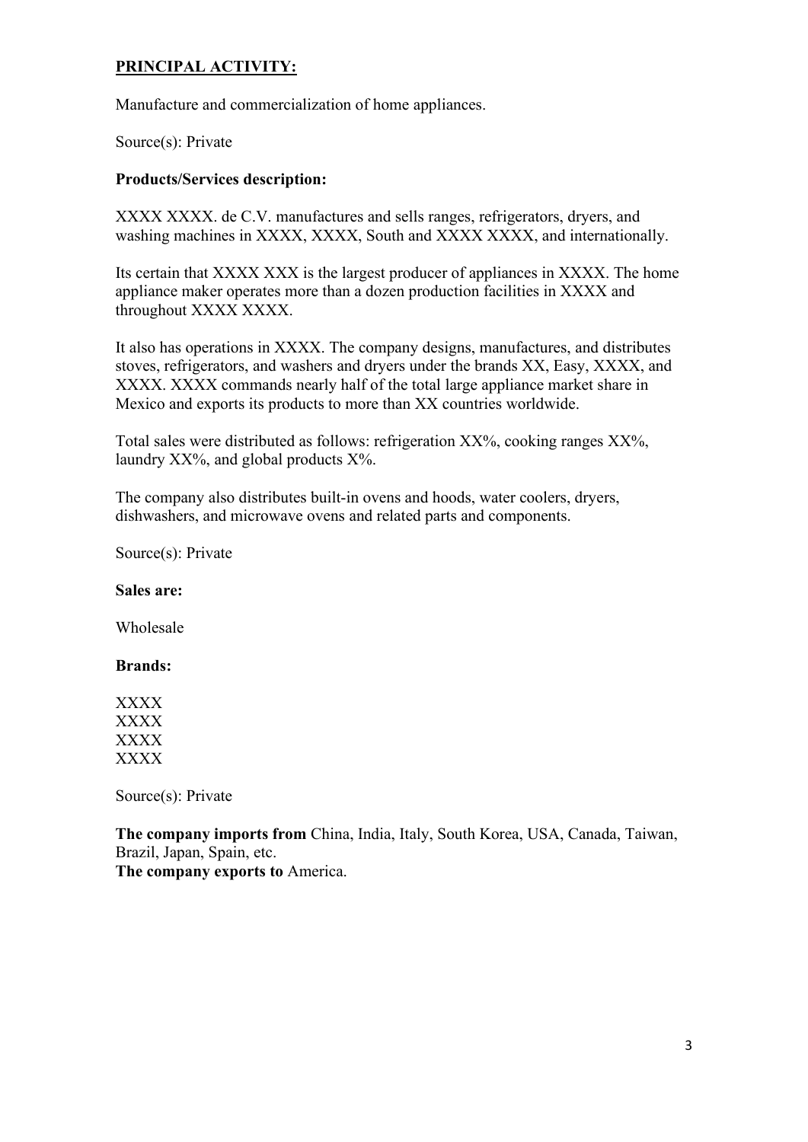# **PRINCIPAL ACTIVITY:**

Manufacture and commercialization of home appliances.

Source(s): Private

### **Products/Services description:**

XXXX XXXX. de C.V. manufactures and sells ranges, refrigerators, dryers, and washing machines in XXXX, XXXX, South and XXXX XXXX, and internationally.

Its certain that XXXX XXX is the largest producer of appliances in XXXX. The home appliance maker operates more than a dozen production facilities in XXXX and throughout XXXX XXXX.

It also has operations in XXXX. The company designs, manufactures, and distributes stoves, refrigerators, and washers and dryers under the brands XX, Easy, XXXX, and XXXX. XXXX commands nearly half of the total large appliance market share in Mexico and exports its products to more than XX countries worldwide.

Total sales were distributed as follows: refrigeration XX%, cooking ranges XX%, laundry  $XX\%$ , and global products  $X\%$ .

The company also distributes built-in ovens and hoods, water coolers, dryers, dishwashers, and microwave ovens and related parts and components.

Source(s): Private

**Sales are:**

Wholesale

### **Brands:**

XXXX XXXX XXXX XXXX

Source(s): Private

**The company imports from** China, India, Italy, South Korea, USA, Canada, Taiwan, Brazil, Japan, Spain, etc.

**The company exports to** America.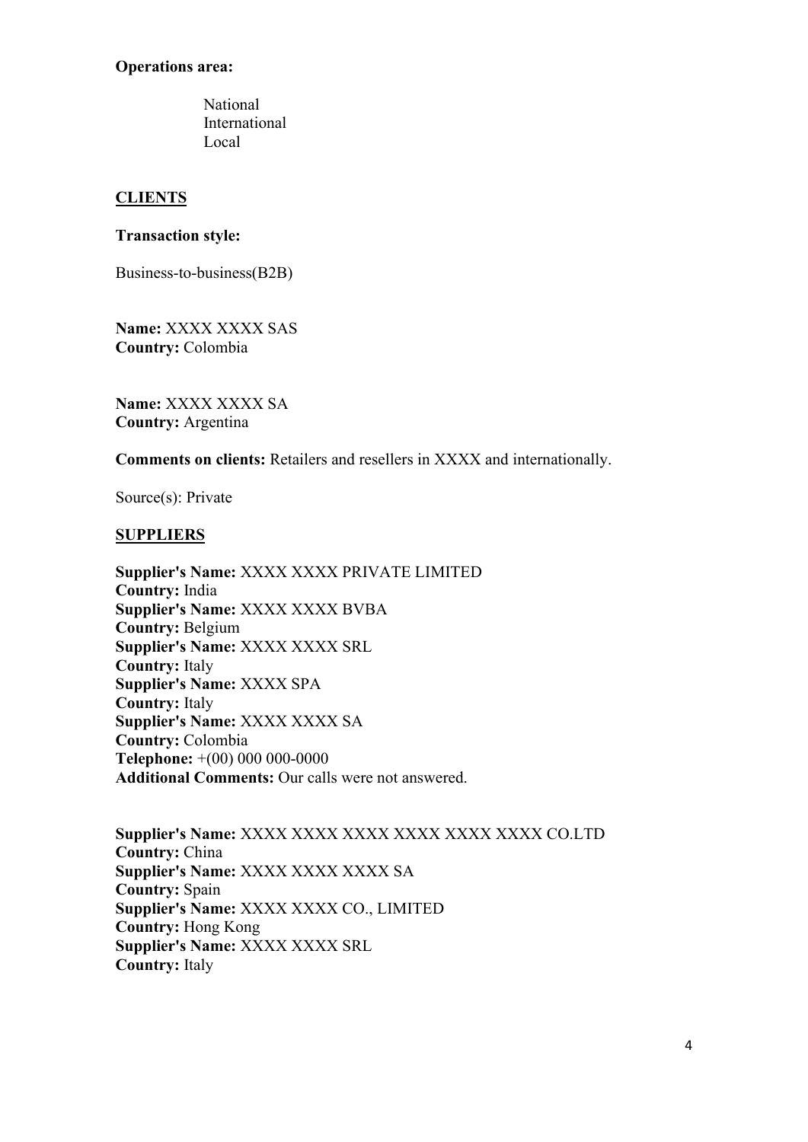### **Operations area:**

National International Local

# **CLIENTS**

### **Transaction style:**

Business-to-business(B2B)

**Name:** XXXX XXXX SAS **Country:** Colombia

**Name:** XXXX XXXX SA **Country:** Argentina

**Comments on clients:** Retailers and resellers in XXXX and internationally.

Source(s): Private

### **SUPPLIERS**

**Supplier's Name:** XXXX XXXX PRIVATE LIMITED **Country:** India **Supplier's Name:** XXXX XXXX BVBA **Country:** Belgium **Supplier's Name:** XXXX XXXX SRL **Country:** Italy **Supplier's Name:** XXXX SPA **Country:** Italy **Supplier's Name:** XXXX XXXX SA **Country:** Colombia **Telephone:** +(00) 000 000-0000 **Additional Comments:** Our calls were not answered.

**Supplier's Name:** XXXX XXXX XXXX XXXX XXXX XXXX CO.LTD **Country:** China **Supplier's Name:** XXXX XXXX XXXX SA **Country:** Spain **Supplier's Name:** XXXX XXXX CO., LIMITED **Country:** Hong Kong **Supplier's Name:** XXXX XXXX SRL **Country:** Italy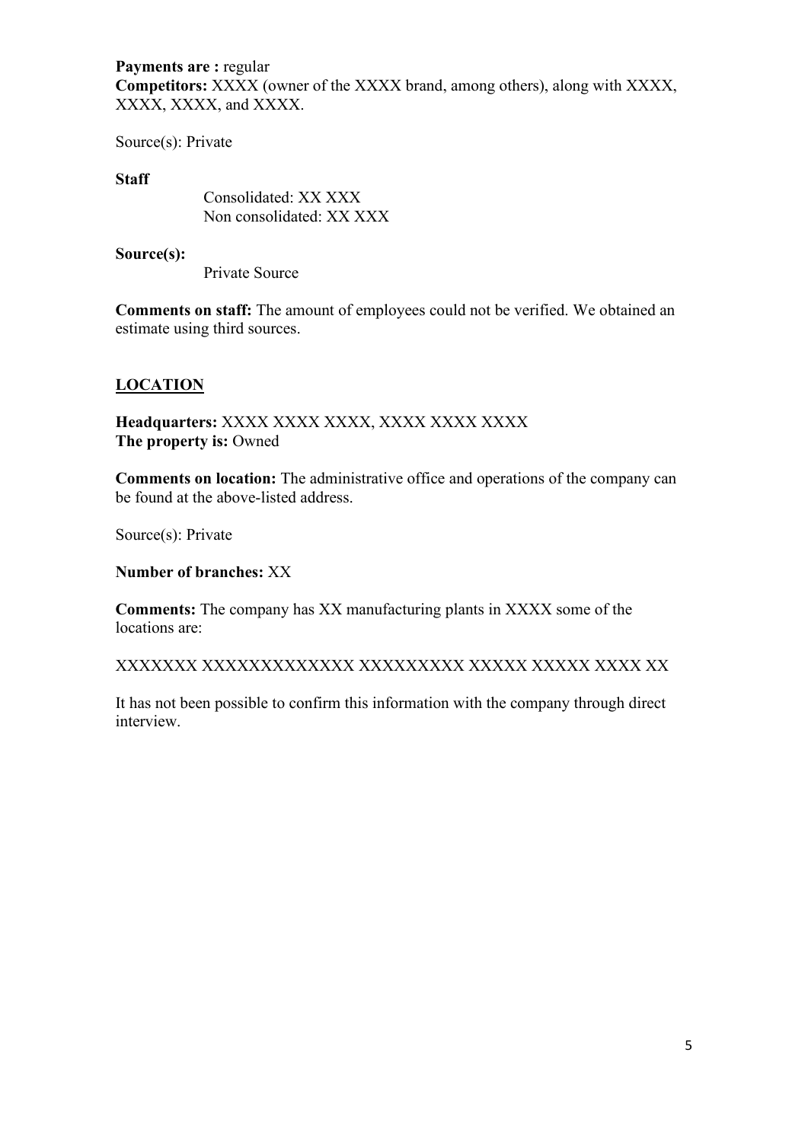# **Payments are :** regular **Competitors:** XXXX (owner of the XXXX brand, among others), along with XXXX, XXXX, XXXX, and XXXX.

Source(s): Private

#### **Staff**

Consolidated: XX XXX Non consolidated: XX XXX

#### **Source(s):**

Private Source

**Comments on staff:** The amount of employees could not be verified. We obtained an estimate using third sources.

### **LOCATION**

**Headquarters:** XXXX XXXX XXXX, XXXX XXXX XXXX **The property is:** Owned

**Comments on location:** The administrative office and operations of the company can be found at the above-listed address.

Source(s): Private

**Number of branches:** XX

**Comments:** The company has XX manufacturing plants in XXXX some of the locations are:

XXXXXXX XXXXXXXXXXXXX XXXXXXXXX XXXXX XXXXX XXXX XX

It has not been possible to confirm this information with the company through direct interview.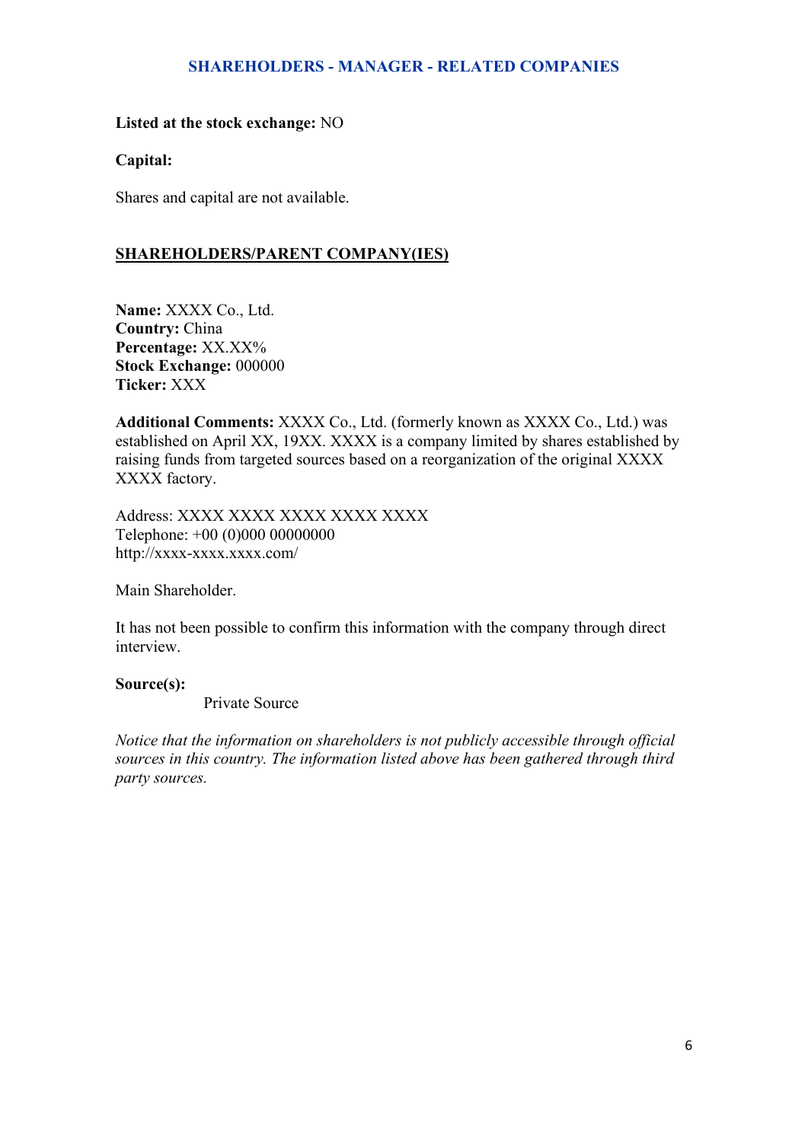### **SHAREHOLDERS - MANAGER - RELATED COMPANIES**

### **Listed at the stock exchange:** NO

#### **Capital:**

Shares and capital are not available.

### **SHAREHOLDERS/PARENT COMPANY(IES)**

**Name:** XXXX Co., Ltd. **Country:** China **Percentage:** XX.XX% **Stock Exchange:** 000000 **Ticker:** XXX

**Additional Comments:** XXXX Co., Ltd. (formerly known as XXXX Co., Ltd.) was established on April XX, 19XX. XXXX is a company limited by shares established by raising funds from targeted sources based on a reorganization of the original XXXX XXXX factory.

Address: XXXX XXXX XXXX XXXX XXXX Telephone: +00 (0)000 00000000 http://xxxx-xxxx.xxxx.com/

Main Shareholder.

It has not been possible to confirm this information with the company through direct interview.

#### **Source(s):**

Private Source

*Notice that the information on shareholders is not publicly accessible through official sources in this country. The information listed above has been gathered through third party sources.*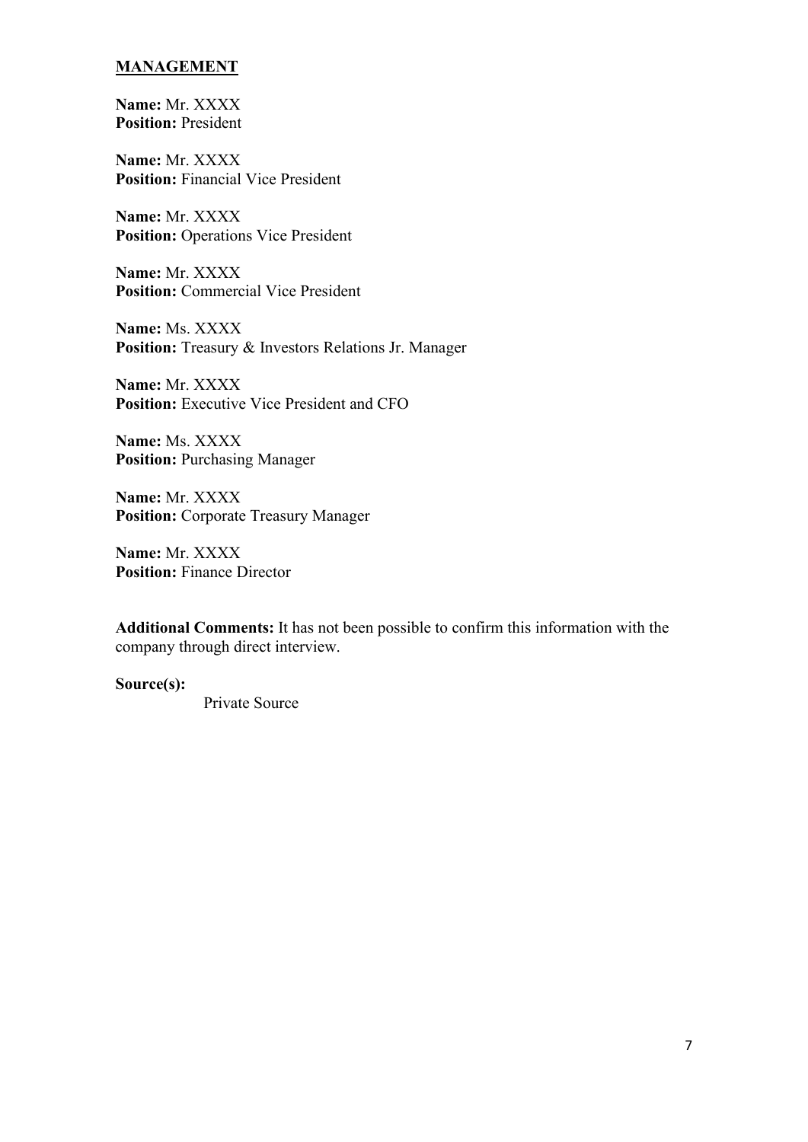## **MANAGEMENT**

**Name:** Mr. XXXX **Position:** President

**Name:** Mr. XXXX **Position:** Financial Vice President

**Name:** Mr. XXXX **Position:** Operations Vice President

**Name:** Mr. XXXX **Position:** Commercial Vice President

**Name:** Ms. XXXX **Position:** Treasury & Investors Relations Jr. Manager

**Name:** Mr. XXXX **Position:** Executive Vice President and CFO

**Name:** Ms. XXXX **Position:** Purchasing Manager

**Name:** Mr. XXXX **Position:** Corporate Treasury Manager

**Name:** Mr. XXXX **Position:** Finance Director

**Additional Comments:** It has not been possible to confirm this information with the company through direct interview.

**Source(s):**

Private Source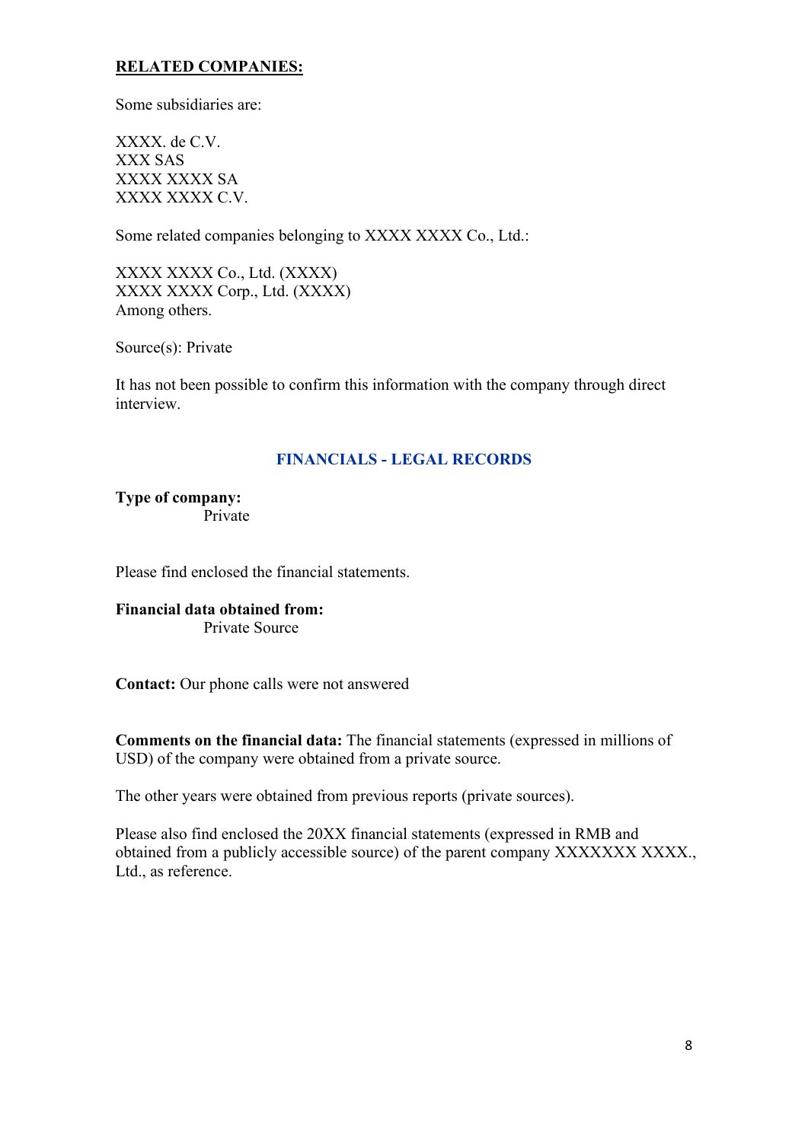# **RELATED COMPANIES:**

Some subsidiaries are:

XXXX. de C.V. XXX SAS XXXX XXXX SA XXXX XXXX C.V.

Some related companies belonging to XXXX XXXX Co., Ltd.:

XXXX XXXX Co., Ltd. (XXXX) XXXX XXXX Corp., Ltd. (XXXX) Among others.

Source(s): Private

It has not been possible to confirm this information with the company through direct interview.

# **FINANCIALS - LEGAL RECORDS**

**Type of company:** Private

Please find enclosed the financial statements.

**Financial data obtained from:** Private Source

**Contact:** Our phone calls were not answered

**Comments on the financial data:** The financial statements (expressed in millions of USD) of the company were obtained from a private source.

The other years were obtained from previous reports (private sources).

Please also find enclosed the 20XX financial statements (expressed in RMB and obtained from a publicly accessible source) of the parent company XXXXXXX XXXX., Ltd., as reference.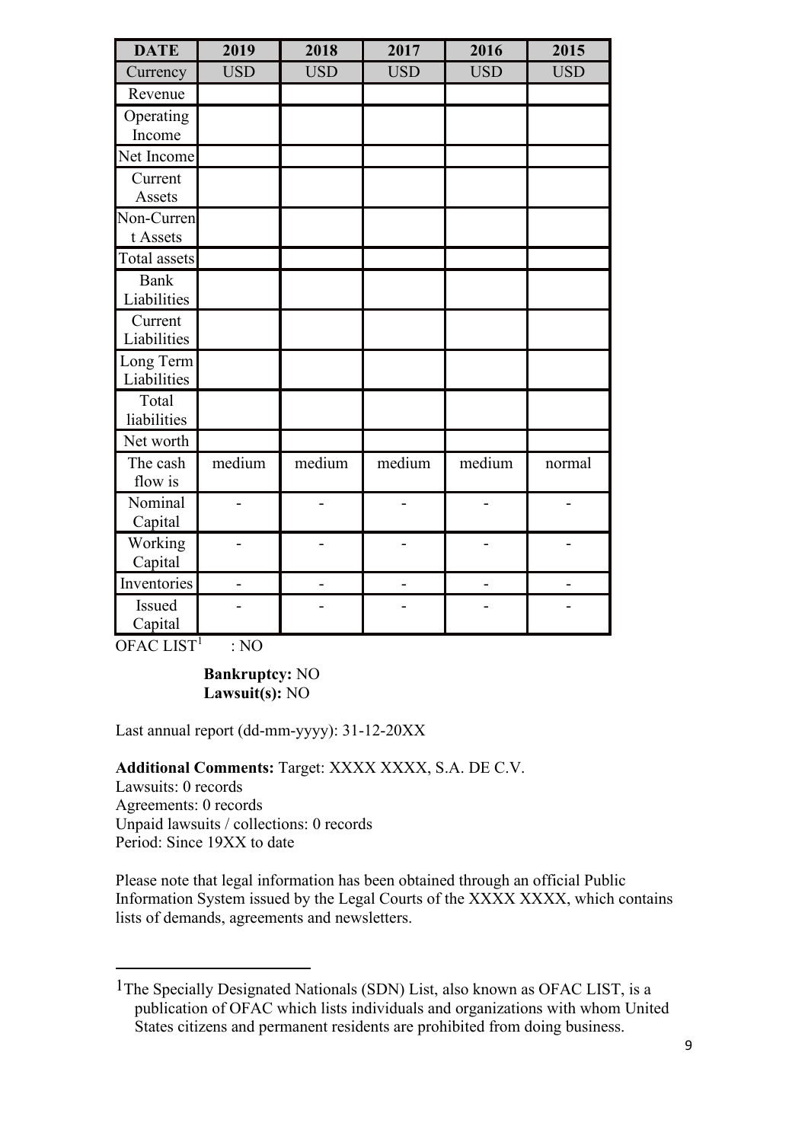| <b>DATE</b>  | 2019           | 2018           | 2017       | 2016           | 2015           |
|--------------|----------------|----------------|------------|----------------|----------------|
| Currency     | <b>USD</b>     | <b>USD</b>     | <b>USD</b> | <b>USD</b>     | <b>USD</b>     |
| Revenue      |                |                |            |                |                |
| Operating    |                |                |            |                |                |
| Income       |                |                |            |                |                |
| Net Income   |                |                |            |                |                |
| Current      |                |                |            |                |                |
| Assets       |                |                |            |                |                |
| Non-Curren   |                |                |            |                |                |
| t Assets     |                |                |            |                |                |
| Total assets |                |                |            |                |                |
| <b>Bank</b>  |                |                |            |                |                |
| Liabilities  |                |                |            |                |                |
| Current      |                |                |            |                |                |
| Liabilities  |                |                |            |                |                |
| Long Term    |                |                |            |                |                |
| Liabilities  |                |                |            |                |                |
| Total        |                |                |            |                |                |
| liabilities  |                |                |            |                |                |
| Net worth    |                |                |            |                |                |
| The cash     | medium         | medium         | medium     | medium         | normal         |
| flow is      |                |                |            |                |                |
| Nominal      | $\overline{a}$ | -              |            |                | $\overline{a}$ |
| Capital      |                |                |            |                |                |
| Working      |                |                |            |                |                |
| Capital      |                |                |            |                |                |
| Inventories  | $\overline{a}$ | $\overline{a}$ |            | $\overline{a}$ |                |
| Issued       |                |                |            |                |                |
| Capital      |                |                |            |                |                |

OFAC LIST<sup>1</sup> : NO

### **Bankruptcy:** NO **Lawsuit(s):** NO

Last annual report (dd-mm-yyyy): 31-12-20XX

**Additional Comments:** Target: XXXX XXXX, S.A. DE C.V.

Lawsuits: 0 records Agreements: 0 records Unpaid lawsuits / collections: 0 records Period: Since 19XX to date

Please note that legal information has been obtained through an official Public Information System issued by the Legal Courts of the XXXX XXXX, which contains lists of demands, agreements and newsletters.

<sup>1</sup>The Specially Designated Nationals (SDN) List, also known as OFAC LIST, is a publication of OFAC which lists individuals and organizations with whom United States citizens and permanent residents are prohibited from doing business.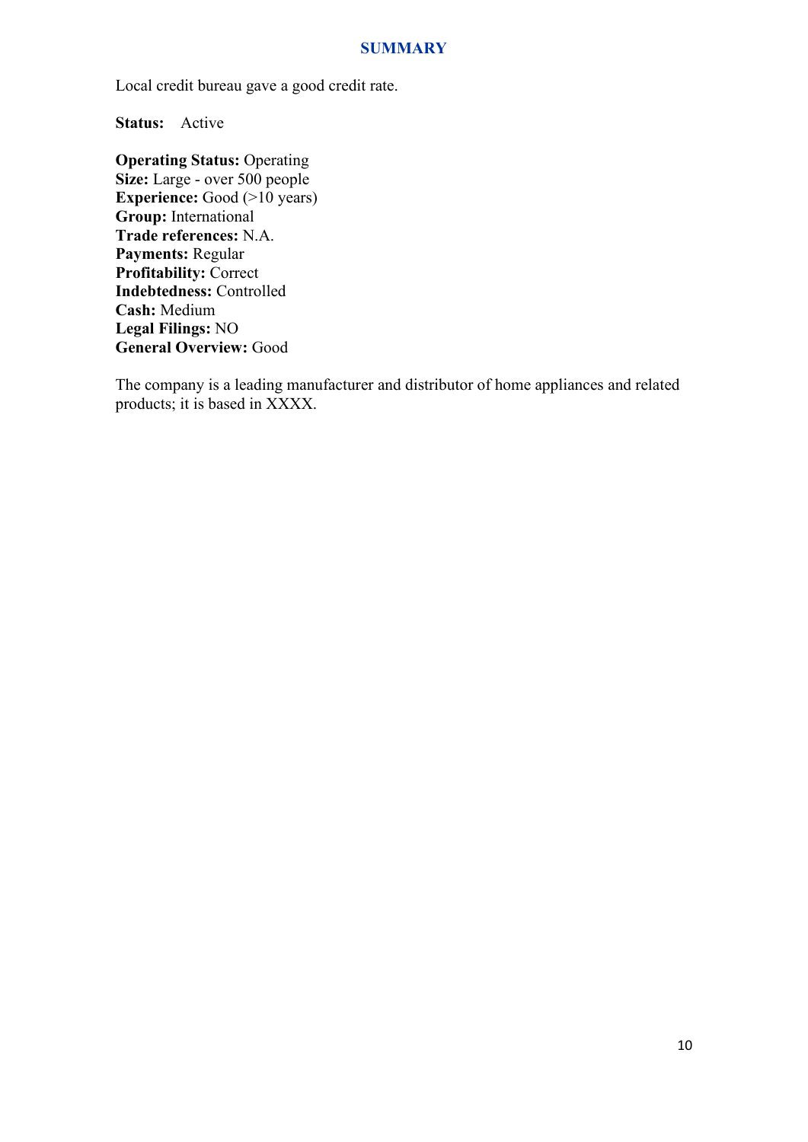#### **SUMMARY**

Local credit bureau gave a good credit rate.

**Status:** Active

**Operating Status:** Operating **Size:** Large - over 500 people **Experience:** Good (>10 years) **Group:** International **Trade references:** N.A. **Payments:** Regular **Profitability:** Correct **Indebtedness:** Controlled **Cash:** Medium **Legal Filings:** NO **General Overview:** Good

The company is a leading manufacturer and distributor of home appliances and related products; it is based in XXXX.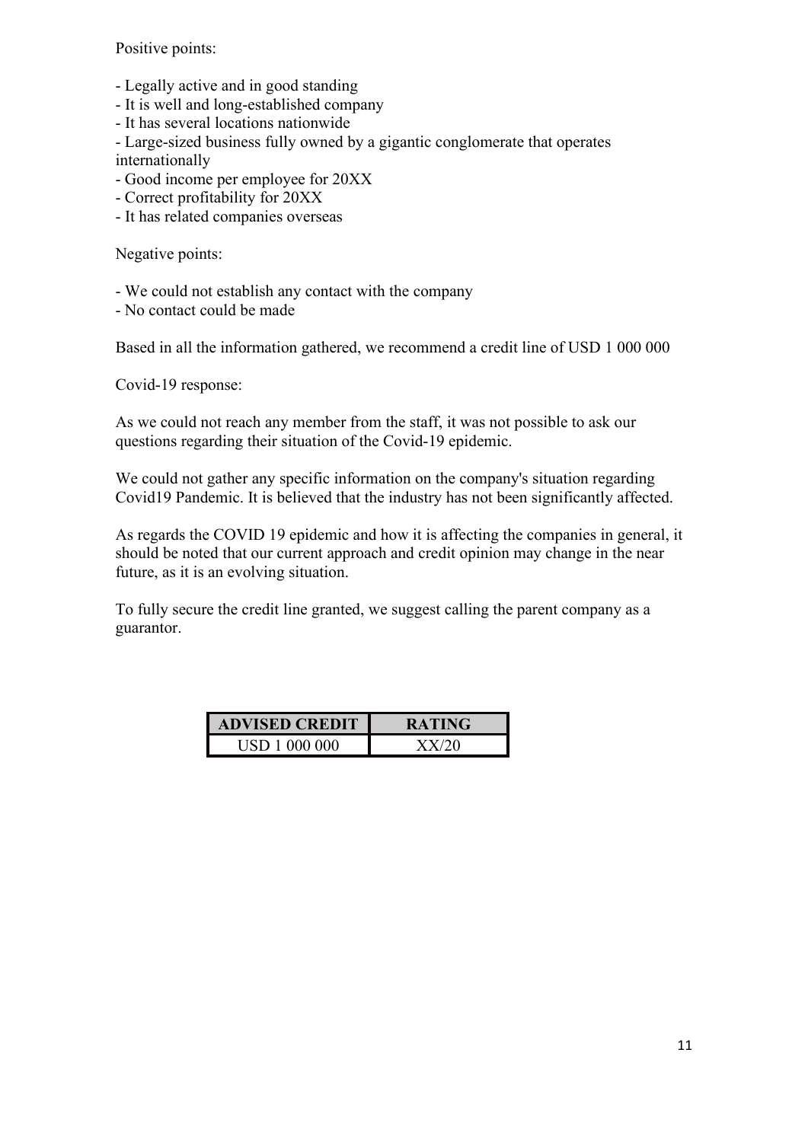Positive points:

- Legally active and in good standing
- It is well and long-established company
- It has several locations nationwide
- Large-sized business fully owned by a gigantic conglomerate that operates
- internationally
- Good income per employee for 20XX
- Correct profitability for 20XX
- It has related companies overseas

Negative points:

- We could not establish any contact with the company
- No contact could be made

Based in all the information gathered, we recommend a credit line of USD 1 000 000

Covid-19 response:

As we could not reach any member from the staff, it was not possible to ask our questions regarding their situation of the Covid-19 epidemic.

We could not gather any specific information on the company's situation regarding Covid19 Pandemic. It is believed that the industry has not been significantly affected.

As regards the COVID 19 epidemic and how it is affecting the companies in general, it should be noted that our current approach and credit opinion may change in the near future, as it is an evolving situation.

To fully secure the credit line granted, we suggest calling the parent company as a guarantor.

| <b>ADVISED CREDIT</b> | <b>RATING</b> |
|-----------------------|---------------|
| USD 1 000 000         |               |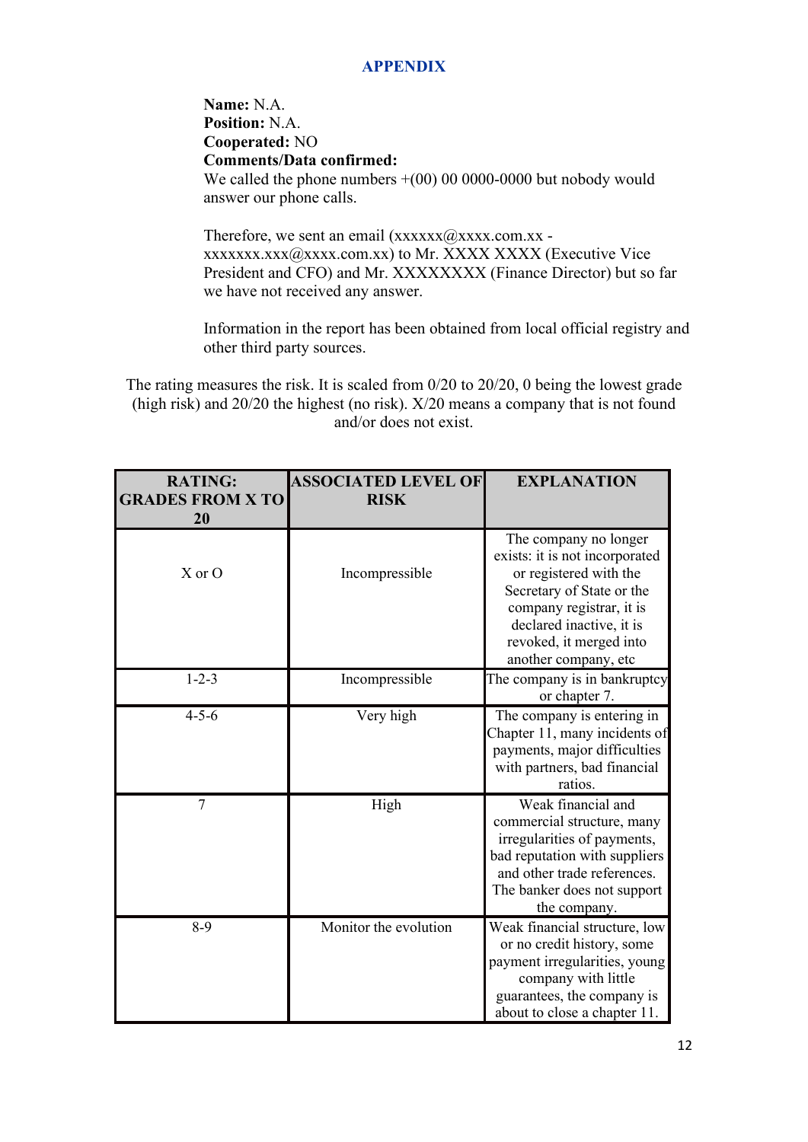# **APPENDIX**

**Name:** N.A. **Position:** N.A. **Cooperated:** NO **Comments/Data confirmed:** We called the phone numbers  $+(00)$  00 0000-0000 but nobody would answer our phone calls.

Therefore, we sent an email  $(xxxxx)(@xxxx.com.xx$ xxxxxxx.xxx@xxxx.com.xx) to Mr. XXXX XXXX (Executive Vice President and CFO) and Mr. XXXXXXXX (Finance Director) but so far we have not received any answer.

Information in the report has been obtained from local official registry and other third party sources.

The rating measures the risk. It is scaled from 0/20 to 20/20, 0 being the lowest grade (high risk) and 20/20 the highest (no risk). X/20 means a company that is not found and/or does not exist.

| <b>RATING:</b><br><b>GRADES FROM X TO</b><br>20 | <b>ASSOCIATED LEVEL OF</b><br><b>RISK</b> | <b>EXPLANATION</b>                                                                                                                                                                                                        |
|-------------------------------------------------|-------------------------------------------|---------------------------------------------------------------------------------------------------------------------------------------------------------------------------------------------------------------------------|
| $X$ or $O$                                      | Incompressible                            | The company no longer<br>exists: it is not incorporated<br>or registered with the<br>Secretary of State or the<br>company registrar, it is<br>declared inactive, it is<br>revoked, it merged into<br>another company, etc |
| $1 - 2 - 3$                                     | Incompressible                            | The company is in bankruptcy<br>or chapter 7.                                                                                                                                                                             |
| $4 - 5 - 6$                                     | Very high                                 | The company is entering in<br>Chapter 11, many incidents of<br>payments, major difficulties<br>with partners, bad financial<br>ratios.                                                                                    |
| 7                                               | High                                      | Weak financial and<br>commercial structure, many<br>irregularities of payments,<br>bad reputation with suppliers<br>and other trade references.<br>The banker does not support<br>the company.                            |
| $8-9$                                           | Monitor the evolution                     | Weak financial structure, low<br>or no credit history, some<br>payment irregularities, young<br>company with little<br>guarantees, the company is<br>about to close a chapter 11.                                         |